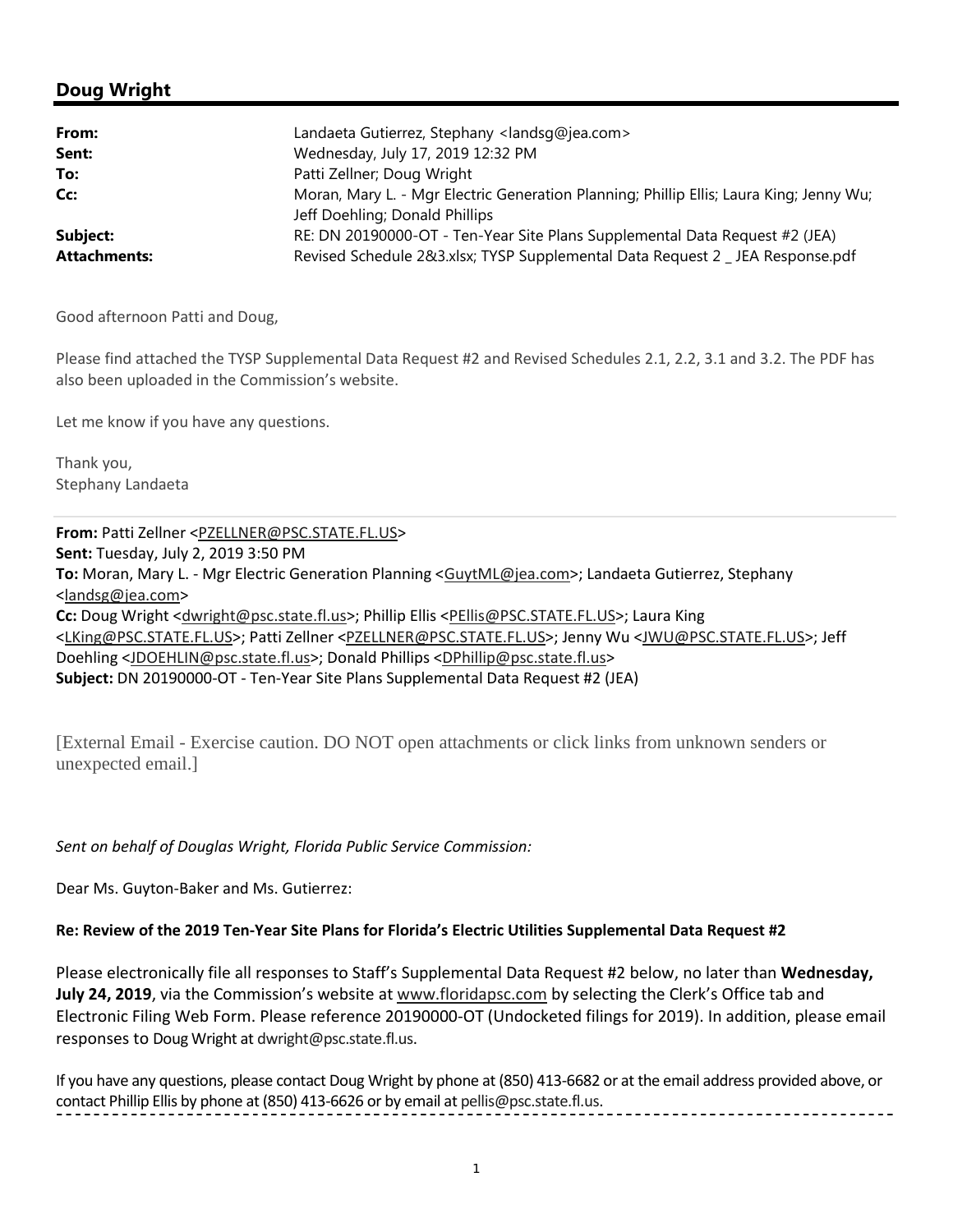# **Doug Wright**

| From:               | Landaeta Gutierrez, Stephany <landsq@jea.com></landsq@jea.com>                          |
|---------------------|-----------------------------------------------------------------------------------------|
| Sent:               | Wednesday, July 17, 2019 12:32 PM                                                       |
| To:                 | Patti Zellner; Doug Wright                                                              |
| Cc:                 | Moran, Mary L. - Mgr Electric Generation Planning; Phillip Ellis; Laura King; Jenny Wu; |
|                     | Jeff Doehling; Donald Phillips                                                          |
| Subject:            | RE: DN 20190000-OT - Ten-Year Site Plans Supplemental Data Request #2 (JEA)             |
| <b>Attachments:</b> | Revised Schedule 2&3.xlsx; TYSP Supplemental Data Request 2 _ JEA Response.pdf          |

Good afternoon Patti and Doug,

Please find attached the TYSP Supplemental Data Request #2 and Revised Schedules 2.1, 2.2, 3.1 and 3.2. The PDF has also been uploaded in the Commission's website.

Let me know if you have any questions.

Thank you, Stephany Landaeta

**From:** Patti Zellner <PZELLNER@PSC.STATE.FL.US> **Sent:** Tuesday, July 2, 2019 3:50 PM **To:** Moran, Mary L. - Mgr Electric Generation Planning <GuytML@jea.com>; Landaeta Gutierrez, Stephany <landsg@jea.com> Cc: Doug Wright <dwright@psc.state.fl.us>; Phillip Ellis <PEllis@PSC.STATE.FL.US>; Laura King <LKing@PSC.STATE.FL.US>; Patti Zellner <PZELLNER@PSC.STATE.FL.US>; Jenny Wu <JWU@PSC.STATE.FL.US>; Jeff Doehling <JDOEHLIN@psc.state.fl.us>; Donald Phillips <DPhillip@psc.state.fl.us> **Subject:** DN 20190000-OT - Ten-Year Site Plans Supplemental Data Request #2 (JEA)

[External Email - Exercise caution. DO NOT open attachments or click links from unknown senders or unexpected email.]

*Sent on behalf of Douglas Wright, Florida Public Service Commission:* 

Dear Ms. Guyton-Baker and Ms. Gutierrez:

### **Re: Review of the 2019 Ten-Year Site Plans for Florida's Electric Utilities Supplemental Data Request #2**

Please electronically file all responses to Staff's Supplemental Data Request #2 below, no later than **Wednesday, July 24, 2019**, via the Commission's website at www.floridapsc.com by selecting the Clerk's Office tab and Electronic Filing Web Form. Please reference 20190000-OT (Undocketed filings for 2019). In addition, please email responses to Doug Wright at dwright@psc.state.fl.us.

If you have any questions, please contact Doug Wright by phone at (850) 413-6682 or at the email address provided above, or contact Phillip Ellis by phone at (850) 413-6626 or by email at pellis@psc.state.fl.us.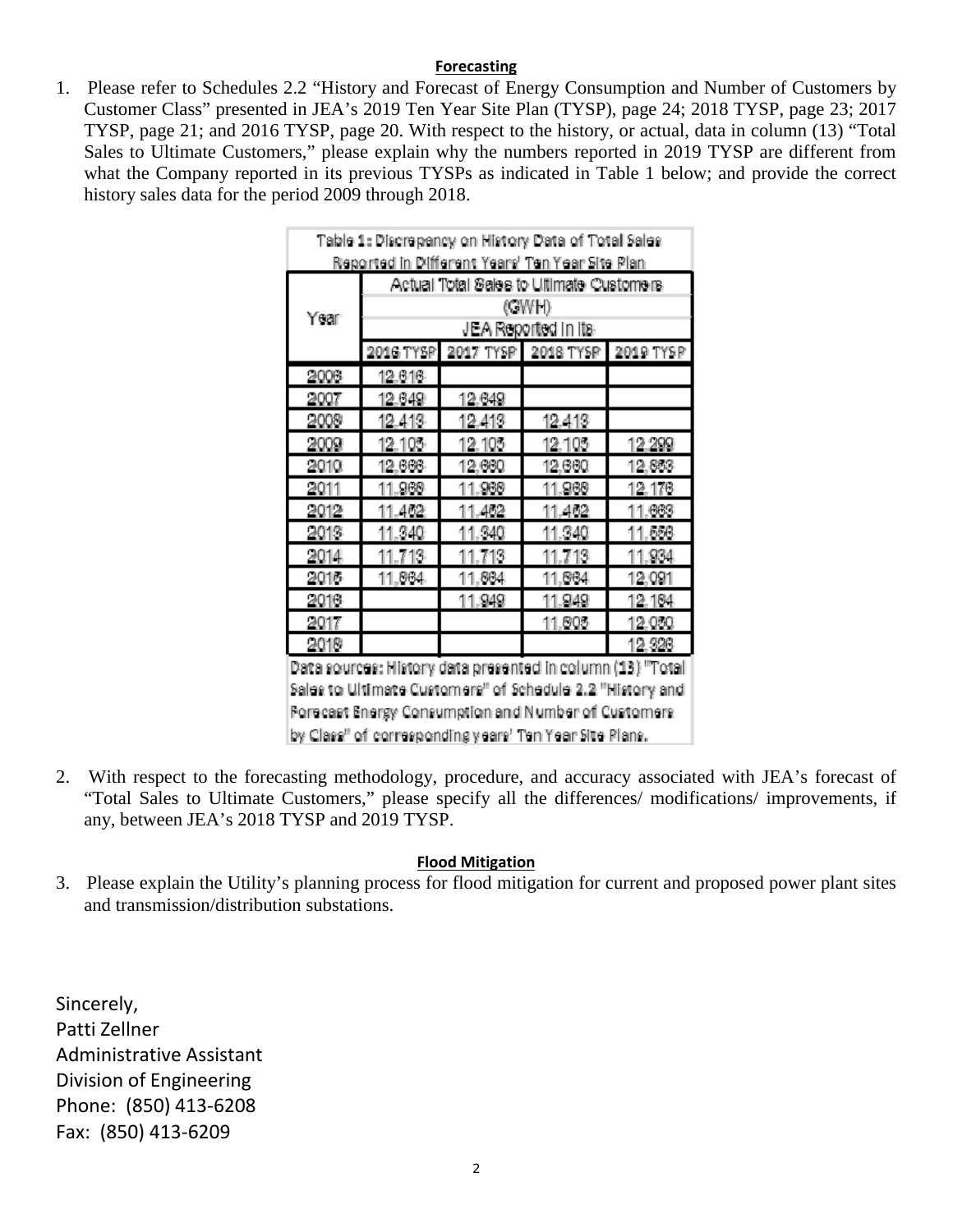## **Forecasting**

1. Please refer to Schedules 2.2 "History and Forecast of Energy Consumption and Number of Customers by Customer Class" presented in JEA's 2019 Ten Year Site Plan (TYSP), page 24; 2018 TYSP, page 23; 2017 TYSP, page 21; and 2016 TYSP, page 20. With respect to the history, or actual, data in column (13) "Total Sales to Ultimate Customers," please explain why the numbers reported in 2019 TYSP are different from what the Company reported in its previous TYSPs as indicated in Table 1 below; and provide the correct history sales data for the period 2009 through 2018.

| Table 1: Discrepancy on History Data of Total Sales |                     |                                          |                                                            |        |  |  |  |  |  |  |  |
|-----------------------------------------------------|---------------------|------------------------------------------|------------------------------------------------------------|--------|--|--|--|--|--|--|--|
| Reported in Different Years' Ten Year Site Plan     |                     |                                          |                                                            |        |  |  |  |  |  |  |  |
|                                                     |                     | Actual Total Sales to Ultimate Customers |                                                            |        |  |  |  |  |  |  |  |
| Year                                                |                     |                                          | (GWH)                                                      |        |  |  |  |  |  |  |  |
|                                                     | JEA Reported in its |                                          |                                                            |        |  |  |  |  |  |  |  |
|                                                     |                     |                                          | 2016 TYSP 2017 TYSP 2018 TYSP 2019 TYSP                    |        |  |  |  |  |  |  |  |
| 2006                                                | 12.616              |                                          |                                                            |        |  |  |  |  |  |  |  |
| 2007                                                | 12.649              | 12,649                                   |                                                            |        |  |  |  |  |  |  |  |
| 2009                                                | 12.413              | 12.413                                   | 12.413                                                     |        |  |  |  |  |  |  |  |
| 2009                                                | 12.105              | 12.105                                   | 12.105                                                     | 12.299 |  |  |  |  |  |  |  |
| 2010                                                | 12.666              | 12,660                                   | 12,660                                                     | 12.863 |  |  |  |  |  |  |  |
| 2011                                                | 11.968              | 11.966                                   | 11,968                                                     | 12.176 |  |  |  |  |  |  |  |
| 2012                                                | 11.462              | 11.462                                   | 11.462                                                     | 11.663 |  |  |  |  |  |  |  |
| 2013                                                | 11.340              | 11.340                                   | 11.340                                                     | 11.556 |  |  |  |  |  |  |  |
| 2014                                                | 11.713              | 11.713                                   | 11.713                                                     | 11.934 |  |  |  |  |  |  |  |
| 2016                                                | 11,864              | 11,864                                   | 11,864                                                     | 12,091 |  |  |  |  |  |  |  |
| 2016                                                |                     | 11.949                                   | 11.949                                                     | 12.164 |  |  |  |  |  |  |  |
| 2017                                                |                     |                                          | 11.005                                                     | 12.050 |  |  |  |  |  |  |  |
| 2019                                                |                     |                                          |                                                            | 12.326 |  |  |  |  |  |  |  |
|                                                     |                     |                                          | Data sources: History data presented in column (13) "Total |        |  |  |  |  |  |  |  |
|                                                     |                     |                                          | Sales to Ultimate Customers" of Schedule 2.2 "History and  |        |  |  |  |  |  |  |  |

Forecast Energy Consumption and Number of Customers by Class" of corresponding years' Ten Year Site Plans.

2. With respect to the forecasting methodology, procedure, and accuracy associated with JEA's forecast of "Total Sales to Ultimate Customers," please specify all the differences/ modifications/ improvements, if any, between JEA's 2018 TYSP and 2019 TYSP.

# **Flood Mitigation**

3. Please explain the Utility's planning process for flood mitigation for current and proposed power plant sites and transmission/distribution substations.

Sincerely, Patti Zellner Administrative Assistant Division of Engineering Phone: (850) 413-6208 Fax: (850) 413-6209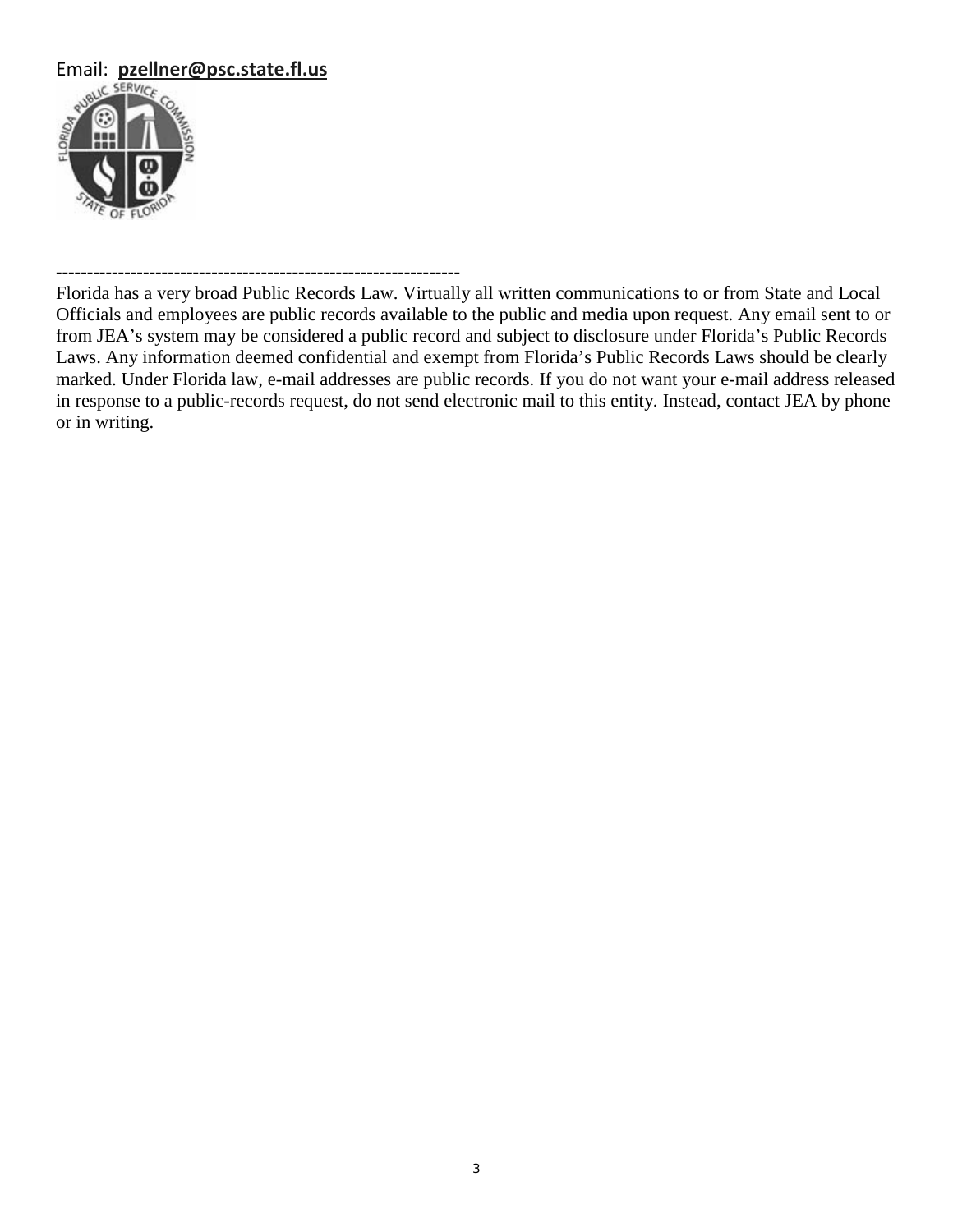

## -----------------------------------------------------------------

Florida has a very broad Public Records Law. Virtually all written communications to or from State and Local Officials and employees are public records available to the public and media upon request. Any email sent to or from JEA's system may be considered a public record and subject to disclosure under Florida's Public Records Laws. Any information deemed confidential and exempt from Florida's Public Records Laws should be clearly marked. Under Florida law, e-mail addresses are public records. If you do not want your e-mail address released in response to a public-records request, do not send electronic mail to this entity. Instead, contact JEA by phone or in writing.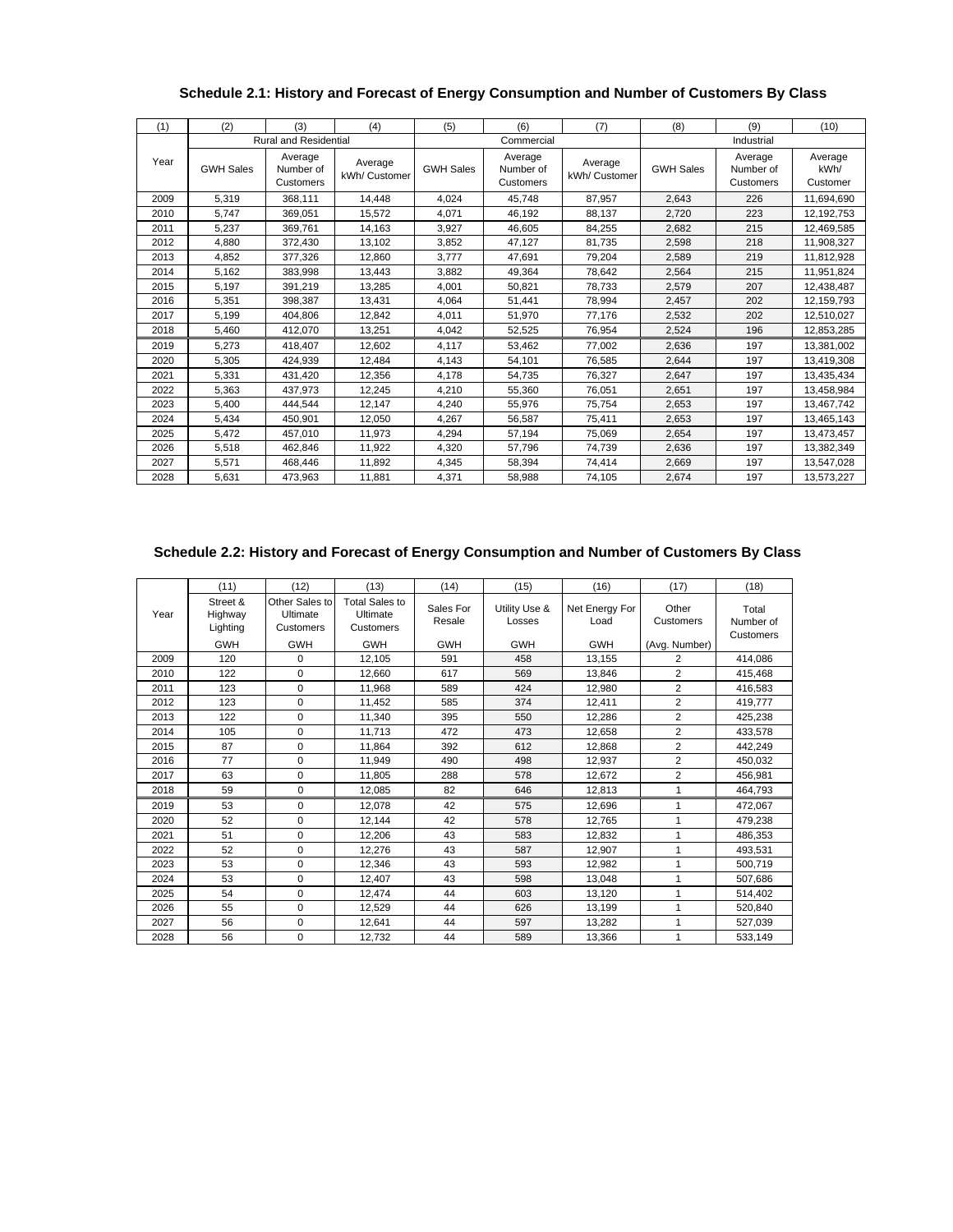|      |                  |                                   |                          |                  |                                   |                          |                  | (9)                               |                             |
|------|------------------|-----------------------------------|--------------------------|------------------|-----------------------------------|--------------------------|------------------|-----------------------------------|-----------------------------|
| (1)  | (2)              | (3)                               | (4)                      | (5)              | (6)                               | (7)                      | (8)              | (10)                              |                             |
|      |                  | <b>Rural and Residential</b>      |                          |                  | Commercial                        |                          |                  | Industrial                        |                             |
| Year | <b>GWH Sales</b> | Average<br>Number of<br>Customers | Average<br>kWh/ Customer | <b>GWH Sales</b> | Average<br>Number of<br>Customers | Average<br>kWh/ Customer | <b>GWH Sales</b> | Average<br>Number of<br>Customers | Average<br>kWh/<br>Customer |
| 2009 | 5,319            | 368,111                           | 14,448                   | 4,024            | 45,748                            | 87,957                   | 2,643            | 226                               | 11,694,690                  |
| 2010 | 5,747            | 369,051                           | 15,572                   | 4,071            | 46,192                            | 88,137                   | 2,720            | 223                               | 12,192,753                  |
| 2011 | 5,237            | 369,761                           | 14,163                   | 3,927            | 46,605                            | 84,255                   | 2,682            | 215                               | 12,469,585                  |
| 2012 | 4,880            | 372,430                           | 13,102                   | 3,852            | 47,127                            | 81,735                   | 2,598            | 218                               | 11,908,327                  |
| 2013 | 4,852            | 377,326                           | 12,860                   | 3.777            | 47.691                            | 79.204                   | 2,589            | 219                               | 11,812,928                  |
| 2014 | 5,162            | 383,998                           | 13,443                   | 3.882            | 49.364                            | 78.642                   | 2,564            | 215                               | 11,951,824                  |
| 2015 | 5,197            | 391.219                           | 13,285                   | 4.001            | 50.821                            | 78.733                   | 2,579            | 207                               | 12,438,487                  |
| 2016 | 5,351            | 398,387                           | 13,431                   | 4,064            | 51,441                            | 78,994                   | 2,457            | 202                               | 12,159,793                  |
| 2017 | 5,199            | 404.806                           | 12,842                   | 4,011            | 51,970                            | 77.176                   | 2,532            | 202                               | 12,510,027                  |
| 2018 | 5,460            | 412,070                           | 13,251                   | 4,042            | 52,525                            | 76,954                   | 2,524            | 196                               | 12,853,285                  |
| 2019 | 5,273            | 418.407                           | 12.602                   | 4.117            | 53,462                            | 77.002                   | 2,636            | 197                               | 13,381,002                  |
| 2020 | 5,305            | 424,939                           | 12,484                   | 4,143            | 54,101                            | 76,585                   | 2,644            | 197                               | 13,419,308                  |
| 2021 | 5,331            | 431,420                           | 12,356                   | 4,178            | 54.735                            | 76.327                   | 2,647            | 197                               | 13,435,434                  |
| 2022 | 5,363            | 437,973                           | 12,245                   | 4,210            | 55,360                            | 76,051                   | 2,651            | 197                               | 13,458,984                  |
| 2023 | 5,400            | 444,544                           | 12,147                   | 4,240            | 55,976                            | 75,754                   | 2,653            | 197                               | 13,467,742                  |
| 2024 | 5,434            | 450.901                           | 12,050                   | 4,267            | 56,587                            | 75,411                   | 2,653            | 197                               | 13,465,143                  |
| 2025 | 5,472            | 457,010                           | 11,973                   | 4,294            | 57,194                            | 75,069                   | 2,654            | 197                               | 13,473,457                  |
| 2026 | 5,518            | 462,846                           | 11,922                   | 4,320            | 57,796                            | 74,739                   | 2,636            | 197                               | 13,382,349                  |
| 2027 | 5,571            | 468,446                           | 11,892                   | 4,345            | 58,394                            | 74,414                   | 2,669            | 197                               | 13,547,028                  |
| 2028 | 5,631            | 473,963                           | 11,881                   | 4,371            | 58.988                            | 74.105                   | 2,674            | 197                               | 13,573,227                  |

#### **Schedule 2.1: History and Forecast of Energy Consumption and Number of Customers By Class**

#### **Schedule 2.2: History and Forecast of Energy Consumption and Number of Customers By Class**

|      | (11)                            | (12)                                    | (13)                                           | (14)                | (15)                    | (16)                   | (17)               | (18)                            |
|------|---------------------------------|-----------------------------------------|------------------------------------------------|---------------------|-------------------------|------------------------|--------------------|---------------------------------|
| Year | Street &<br>Highway<br>Lighting | Other Sales to<br>Ultimate<br>Customers | <b>Total Sales to</b><br>Ultimate<br>Customers | Sales For<br>Resale | Utility Use &<br>Losses | Net Energy For<br>Load | Other<br>Customers | Total<br>Number of<br>Customers |
|      | <b>GWH</b>                      | <b>GWH</b>                              | <b>GWH</b>                                     | <b>GWH</b>          | <b>GWH</b>              | <b>GWH</b>             | (Avg. Number)      |                                 |
| 2009 | 120                             | $\Omega$                                | 12,105                                         | 591                 | 458                     | 13,155                 | 2                  | 414.086                         |
| 2010 | 122                             | 0                                       | 12,660                                         | 617                 | 569                     | 13,846                 | 2                  | 415,468                         |
| 2011 | 123                             | 0                                       | 11,968                                         | 589                 | 424                     | 12,980                 | $\overline{2}$     | 416,583                         |
| 2012 | 123                             | 0                                       | 11,452                                         | 585                 | 374                     | 12,411                 | $\overline{2}$     | 419,777                         |
| 2013 | 122                             | 0                                       | 11,340                                         | 395                 | 550                     | 12,286                 | $\overline{2}$     | 425,238                         |
| 2014 | 105                             | 0                                       | 11,713                                         | 472                 | 473                     | 12,658                 | $\overline{2}$     | 433,578                         |
| 2015 | 87                              | 0                                       | 11,864                                         | 392                 | 612                     | 12,868                 | $\overline{2}$     | 442,249                         |
| 2016 | 77                              | 0                                       | 11,949                                         | 490                 | 498                     | 12,937                 | $\overline{2}$     | 450,032                         |
| 2017 | 63                              | $\Omega$                                | 11.805                                         | 288                 | 578                     | 12,672                 | $\overline{2}$     | 456,981                         |
| 2018 | 59                              | 0                                       | 12,085                                         | 82                  | 646                     | 12,813                 | 1                  | 464,793                         |
| 2019 | 53                              | 0                                       | 12,078                                         | 42                  | 575                     | 12,696                 | 1                  | 472,067                         |
| 2020 | 52                              | 0                                       | 12,144                                         | 42                  | 578                     | 12,765                 | 1                  | 479,238                         |
| 2021 | 51                              | 0                                       | 12,206                                         | 43                  | 583                     | 12,832                 | 1                  | 486,353                         |
| 2022 | 52                              | 0                                       | 12,276                                         | 43                  | 587                     | 12,907                 | 1                  | 493.531                         |
| 2023 | 53                              | $\Omega$                                | 12,346                                         | 43                  | 593                     | 12,982                 | 1                  | 500,719                         |
| 2024 | 53                              | 0                                       | 12,407                                         | 43                  | 598                     | 13,048                 | 1                  | 507,686                         |
| 2025 | 54                              | $\Omega$                                | 12,474                                         | 44                  | 603                     | 13,120                 | 1                  | 514,402                         |
| 2026 | 55                              | 0                                       | 12,529                                         | 44                  | 626                     | 13,199                 | 1                  | 520,840                         |
| 2027 | 56                              | $\Omega$                                | 12,641                                         | 44                  | 597                     | 13,282                 | 1                  | 527,039                         |
| 2028 | 56                              | 0                                       | 12,732                                         | 44                  | 589                     | 13,366                 | 1                  | 533,149                         |